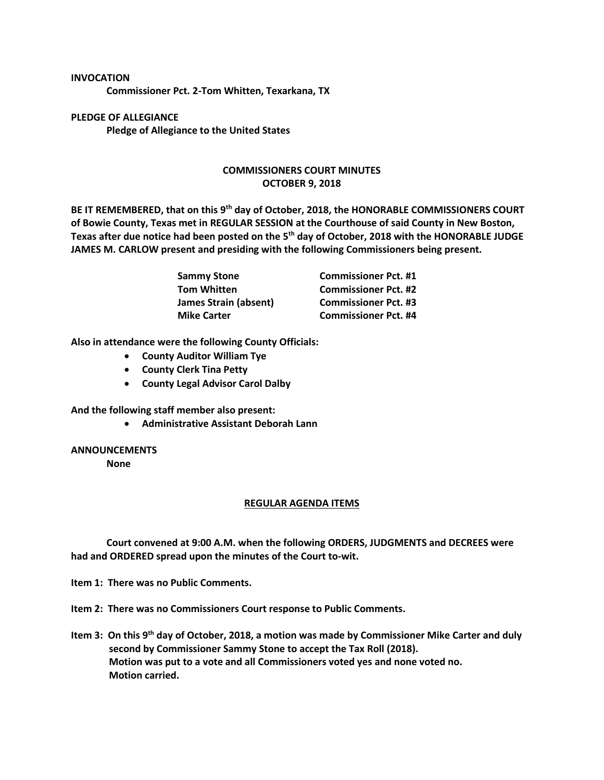## **INVOCATION Commissioner Pct. 2-Tom Whitten, Texarkana, TX**

**PLEDGE OF ALLEGIANCE Pledge of Allegiance to the United States**

## **COMMISSIONERS COURT MINUTES OCTOBER 9, 2018**

**BE IT REMEMBERED, that on this 9th day of October, 2018, the HONORABLE COMMISSIONERS COURT of Bowie County, Texas met in REGULAR SESSION at the Courthouse of said County in New Boston, Texas after due notice had been posted on the 5th day of October, 2018 with the HONORABLE JUDGE JAMES M. CARLOW present and presiding with the following Commissioners being present.**

| <b>Sammy Stone</b>    | <b>Commissioner Pct. #1</b> |
|-----------------------|-----------------------------|
| <b>Tom Whitten</b>    | <b>Commissioner Pct. #2</b> |
| James Strain (absent) | <b>Commissioner Pct. #3</b> |
| <b>Mike Carter</b>    | <b>Commissioner Pct. #4</b> |

**Also in attendance were the following County Officials:**

- **County Auditor William Tye**
- **County Clerk Tina Petty**
- **County Legal Advisor Carol Dalby**

**And the following staff member also present:**

• **Administrative Assistant Deborah Lann**

## **ANNOUNCEMENTS**

**None**

## **REGULAR AGENDA ITEMS**

**Court convened at 9:00 A.M. when the following ORDERS, JUDGMENTS and DECREES were had and ORDERED spread upon the minutes of the Court to-wit.**

**Item 1: There was no Public Comments.**

**Item 2: There was no Commissioners Court response to Public Comments.**

**Item 3: On this 9th day of October, 2018, a motion was made by Commissioner Mike Carter and duly second by Commissioner Sammy Stone to accept the Tax Roll (2018). Motion was put to a vote and all Commissioners voted yes and none voted no. Motion carried.**